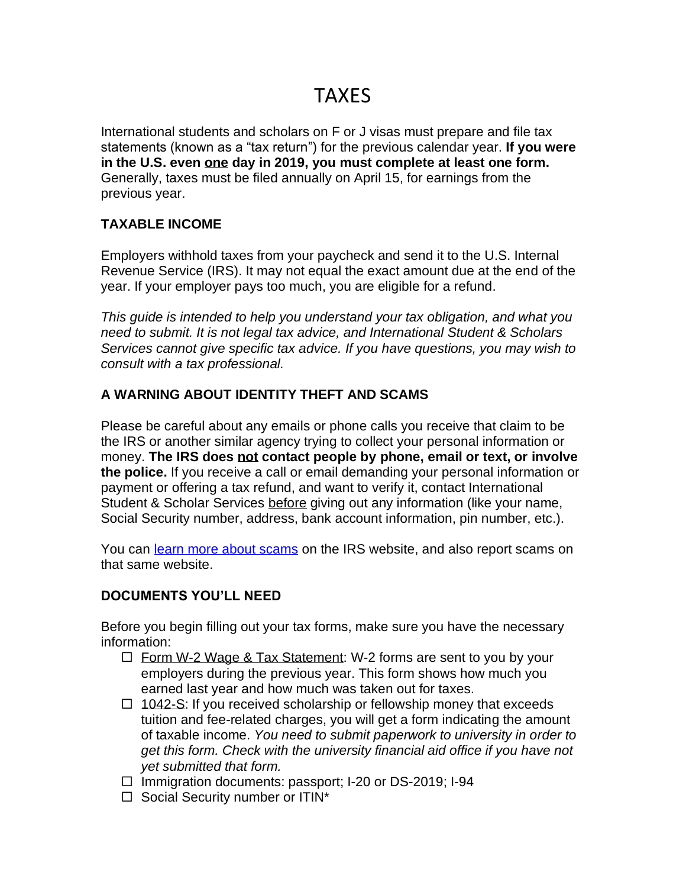# TAXES

International students and scholars on F or J visas must prepare and file tax statements (known as a "tax return") for the previous calendar year. **If you were in the U.S. even one day in 2019, you must complete at least one form.** Generally, taxes must be filed annually on April 15, for earnings from the previous year.

## **TAXABLE INCOME**

Employers withhold taxes from your paycheck and send it to the U.S. Internal Revenue Service (IRS). It may not equal the exact amount due at the end of the year. If your employer pays too much, you are eligible for a refund.

*This guide is intended to help you understand your tax obligation, and what you need to submit. It is not legal tax advice, and International Student & Scholars Services cannot give specific tax advice. If you have questions, you may wish to consult with a tax professional.*

# **A WARNING ABOUT IDENTITY THEFT AND SCAMS**

Please be careful about any emails or phone calls you receive that claim to be the IRS or another similar agency trying to collect your personal information or money. **The IRS does not contact people by phone, email or text, or involve the police.** If you receive a call or email demanding your personal information or payment or offering a tax refund, and want to verify it, contact International Student & Scholar Services before giving out any information (like your name, Social Security number, address, bank account information, pin number, etc.).

You can [learn more about scams](https://www.irs.gov/businesses/small-businesses-self-employed/tax-scams-how-to-report-them) on the IRS website, and also report scams on that same website.

### **DOCUMENTS YOU'LL NEED**

Before you begin filling out your tax forms, make sure you have the necessary information:

- $\Box$  Form W-2 Wage & Tax Statement: W-2 forms are sent to you by your employers during the previous year. This form shows how much you earned last year and how much was taken out for taxes.
- $\Box$  1042-S: If you received scholarship or fellowship money that exceeds tuition and fee-related charges, you will get a form indicating the amount of taxable income. *You need to submit paperwork to university in order to get this form. Check with the university financial aid office if you have not yet submitted that form.*
- $\Box$  Immigration documents: passport; I-20 or DS-2019; I-94
- $\Box$  Social Security number or ITIN\*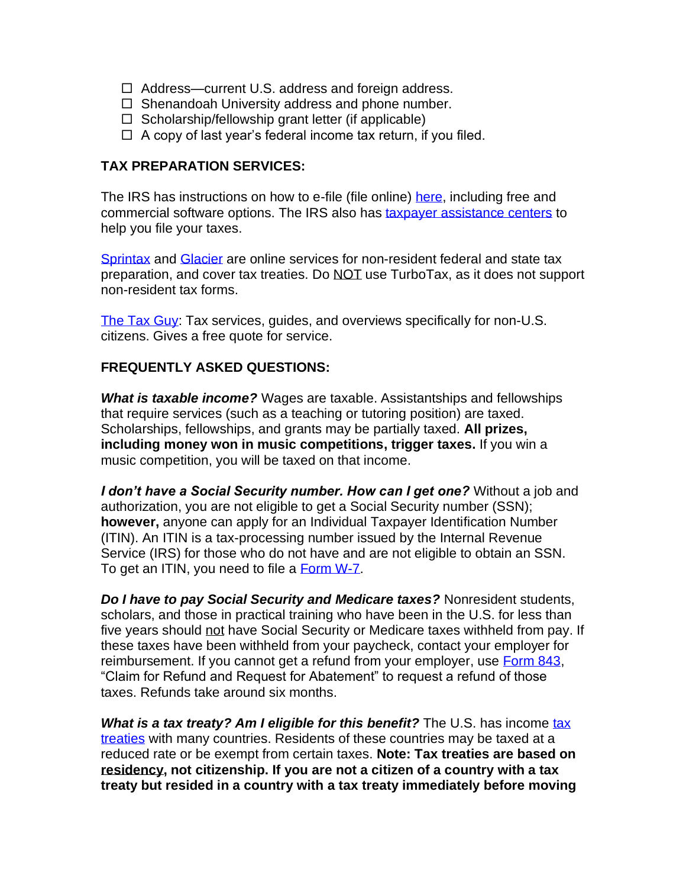- $\Box$  Address—current U.S. address and foreign address.
- $\Box$  Shenandoah University address and phone number.
- $\Box$  Scholarship/fellowship grant letter (if applicable)
- $\Box$  A copy of last year's federal income tax return, if you filed.

### **TAX PREPARATION SERVICES:**

The IRS has instructions on how to e-file (file online) [here,](https://www.irs.gov/filing/e-file-options) including free and commercial software options. The IRS also has [taxpayer assistance centers](https://www.irs.gov/help-resources/contact-your-local-irs-office) to help you file your taxes.

[Sprintax](https://www.sprintax.com/) and [Glacier](https://www.glaciertax.com/) are online services for non-resident federal and state tax preparation, and cover tax treaties. Do NOT use TurboTax, as it does not support non-resident tax forms.

[The Tax Guy:](http://www.thetaxguy.com/) Tax services, guides, and overviews specifically for non-U.S. citizens. Gives a free quote for service.

#### **FREQUENTLY ASKED QUESTIONS:**

*What is taxable income?* Wages are taxable. Assistantships and fellowships that require services (such as a teaching or tutoring position) are taxed. Scholarships, fellowships, and grants may be partially taxed. **All prizes, including money won in music competitions, trigger taxes.** If you win a music competition, you will be taxed on that income.

*I don't have a Social Security number. How can I get one?* Without a job and authorization, you are not eligible to get a Social Security number (SSN); **however,** anyone can apply for an Individual Taxpayer Identification Number (ITIN). An ITIN is a tax-processing number issued by the Internal Revenue Service (IRS) for those who do not have and are not eligible to obtain an SSN. To get an ITIN, you need to file a [Form W-7.](https://www.irs.gov/uac/about-form-w7)

*Do I have to pay Social Security and Medicare taxes?* Nonresident students, scholars, and those in practical training who have been in the U.S. for less than five years should not have Social Security or Medicare taxes withheld from pay. If these taxes have been withheld from your paycheck, contact your employer for reimbursement. If you cannot get a refund from your employer, use [Form 843,](https://www.irs.gov/uac/form-843-claim-for-refund-and-request-for-abatement) "Claim for Refund and Request for Abatement" to request a refund of those taxes. Refunds take around six months.

**What is a [tax](https://www.irs.gov/businesses/international-businesses/united-states-income-tax-treaties-a-to-z) treaty? Am I eligible for this benefit?** The U.S. has income tax [treaties](https://www.irs.gov/businesses/international-businesses/united-states-income-tax-treaties-a-to-z) with many countries. Residents of these countries may be taxed at a reduced rate or be exempt from certain taxes. **Note: Tax treaties are based on residency, not citizenship. If you are not a citizen of a country with a tax treaty but resided in a country with a tax treaty immediately before moving**